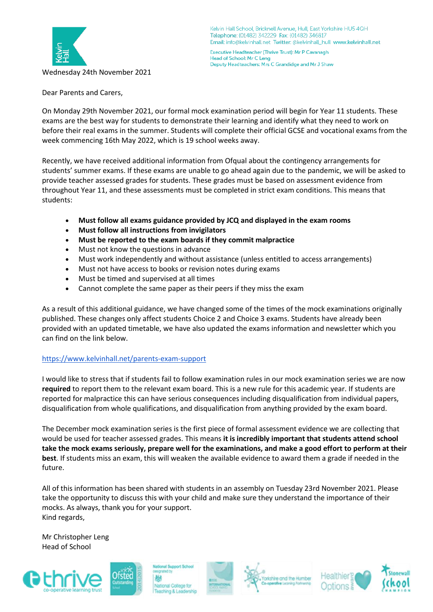

Kelvin Hall School, Bricknell Avenue, Hull, East Yorkshire HU5 4QH Telephone: (01482) 342229 Fax: (01482) 346817 Email: info@kelvinhall.net Twitter: @kelvinhall\_hull www.kelvinhall.net

Executive Headteacher (Thrive Trust): Mr P Cavanagh Head of School: Mr C Leng Deputy Headteachers: Mrs C Grandidge and Mr J Shaw

Dear Parents and Carers,

On Monday 29th November 2021, our formal mock examination period will begin for Year 11 students. These exams are the best way for students to demonstrate their learning and identify what they need to work on before their real exams in the summer. Students will complete their official GCSE and vocational exams from the week commencing 16th May 2022, which is 19 school weeks away.

Recently, we have received additional information from Ofqual about the contingency arrangements for students' summer exams. If these exams are unable to go ahead again due to the pandemic, we will be asked to provide teacher assessed grades for students. These grades must be based on assessment evidence from throughout Year 11, and these assessments must be completed in strict exam conditions. This means that students:

- **Must follow all exams guidance provided by JCQ and displayed in the exam rooms**
- **Must follow all instructions from invigilators**
- **Must be reported to the exam boards if they commit malpractice**
- Must not know the questions in advance
- Must work independently and without assistance (unless entitled to access arrangements)
- Must not have access to books or revision notes during exams
- Must be timed and supervised at all times
- Cannot complete the same paper as their peers if they miss the exam

As a result of this additional guidance, we have changed some of the times of the mock examinations originally published. These changes only affect students Choice 2 and Choice 3 exams. Students have already been provided with an updated timetable, we have also updated the exams information and newsletter which you can find on the link below.

## <https://www.kelvinhall.net/parents-exam-support>

I would like to stress that if students fail to follow examination rules in our mock examination series we are now **required** to report them to the relevant exam board. This is a new rule for this academic year. If students are reported for malpractice this can have serious consequences including disqualification from individual papers, disqualification from whole qualifications, and disqualification from anything provided by the exam board.

The December mock examination series is the first piece of formal assessment evidence we are collecting that would be used for teacher assessed grades. This means **it is incredibly important that students attend school take the mock exams seriously, prepare well for the examinations, and make a good effort to perform at their best**. If students miss an exam, this will weaken the available evidence to award them a grade if needed in the future.

All of this information has been shared with students in an assembly on Tuesday 23rd November 2021. Please take the opportunity to discuss this with your child and make sure they understand the importance of their mocks. As always, thank you for your support. Kind regards,

Mr Christopher Leng Head of School